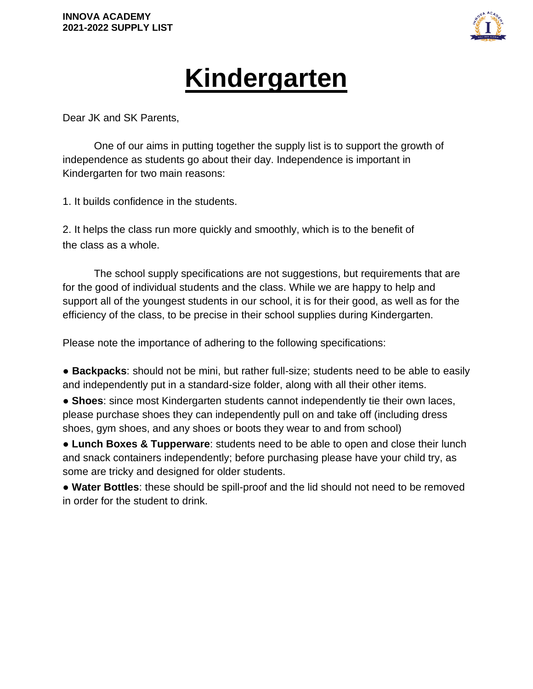

## **Kindergarten**

Dear JK and SK Parents,

One of our aims in putting together the supply list is to support the growth of independence as students go about their day. Independence is important in Kindergarten for two main reasons:

1. It builds confidence in the students.

2. It helps the class run more quickly and smoothly, which is to the benefit of the class as a whole.

The school supply specifications are not suggestions, but requirements that are for the good of individual students and the class. While we are happy to help and support all of the youngest students in our school, it is for their good, as well as for the efficiency of the class, to be precise in their school supplies during Kindergarten.

Please note the importance of adhering to the following specifications:

● **Backpacks**: should not be mini, but rather full-size; students need to be able to easily and independently put in a standard-size folder, along with all their other items.

● **Shoes**: since most Kindergarten students cannot independently tie their own laces, please purchase shoes they can independently pull on and take off (including dress shoes, gym shoes, and any shoes or boots they wear to and from school)

● **Lunch Boxes & Tupperware**: students need to be able to open and close their lunch and snack containers independently; before purchasing please have your child try, as some are tricky and designed for older students.

● **Water Bottles**: these should be spill-proof and the lid should not need to be removed in order for the student to drink.